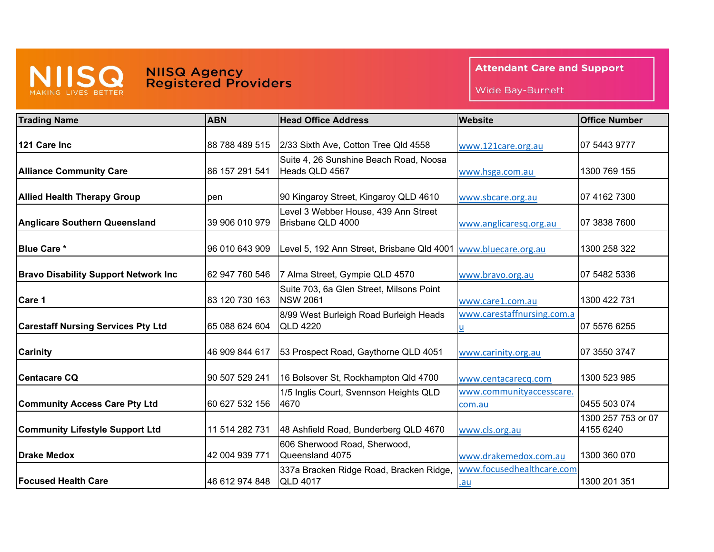

## MISS NIISQ Agency<br>
MAKING LIVES BETTER Registered Providers

**Attendant Care and Support** 

Wide Bay-Burnett

| <b>Trading Name</b>                          | <b>ABN</b>     | <b>Head Office Address</b>                                  | Website                            | <b>Office Number</b>            |
|----------------------------------------------|----------------|-------------------------------------------------------------|------------------------------------|---------------------------------|
| 121 Care Inc                                 | 88 788 489 515 | 2/33 Sixth Ave, Cotton Tree Qld 4558                        | www.121care.org.au                 | 07 5443 9777                    |
| <b>Alliance Community Care</b>               | 86 157 291 541 | Suite 4, 26 Sunshine Beach Road, Noosa<br>Heads QLD 4567    | www.hsga.com.au                    | 1300 769 155                    |
| <b>Allied Health Therapy Group</b>           | pen            | 90 Kingaroy Street, Kingaroy QLD 4610                       | www.sbcare.org.au                  | 07 4162 7300                    |
| <b>Anglicare Southern Queensland</b>         | 39 906 010 979 | Level 3 Webber House, 439 Ann Street<br>Brisbane QLD 4000   | www.anglicaresq.org.au             | 07 3838 7600                    |
| <b>Blue Care *</b>                           | 96 010 643 909 | Level 5, 192 Ann Street, Brisbane Qld 4001                  | www.bluecare.org.au                | 1300 258 322                    |
| <b>Bravo Disability Support Network Inc.</b> | 62 947 760 546 | 7 Alma Street, Gympie QLD 4570                              | www.bravo.org.au                   | 07 5482 5336                    |
| Care 1                                       | 83 120 730 163 | Suite 703, 6a Glen Street, Milsons Point<br><b>NSW 2061</b> | www.care1.com.au                   | 1300 422 731                    |
| <b>Carestaff Nursing Services Pty Ltd</b>    | 65 088 624 604 | 8/99 West Burleigh Road Burleigh Heads<br><b>QLD 4220</b>   | www.carestaffnursing.com.a         | 07 5576 6255                    |
| <b>Carinity</b>                              | 46 909 844 617 | 53 Prospect Road, Gaythorne QLD 4051                        | www.carinity.org.au                | 07 3550 3747                    |
| <b>Centacare CQ</b>                          | 90 507 529 241 | 16 Bolsover St, Rockhampton Qld 4700                        | www.centacarecq.com                | 1300 523 985                    |
| <b>Community Access Care Pty Ltd</b>         | 60 627 532 156 | 1/5 Inglis Court, Svennson Heights QLD<br>4670              | www.communityaccesscare.<br>com.au | 0455 503 074                    |
| <b>Community Lifestyle Support Ltd</b>       | 11 514 282 731 | 48 Ashfield Road, Bunderberg QLD 4670                       | www.cls.org.au                     | 1300 257 753 or 07<br>4155 6240 |
| <b>Drake Medox</b>                           | 42 004 939 771 | 606 Sherwood Road, Sherwood,<br>Queensland 4075             | www.drakemedox.com.au              | 1300 360 070                    |
| <b>Focused Health Care</b>                   | 46 612 974 848 | 337a Bracken Ridge Road, Bracken Ridge,<br><b>QLD 4017</b>  | www.focusedhealthcare.com<br>.au   | 1300 201 351                    |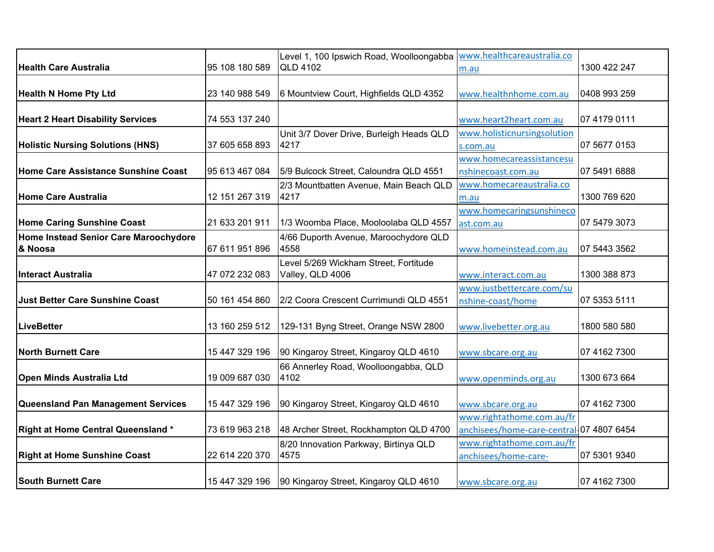|                                                  |                | Level 1, 100 Ipswich Road, Woolloongabba                  | www.healthcareaustralia.co                                            |              |
|--------------------------------------------------|----------------|-----------------------------------------------------------|-----------------------------------------------------------------------|--------------|
| <b>Health Care Australia</b>                     | 95 108 180 589 | <b>QLD 4102</b>                                           | m.au                                                                  | 1300 422 247 |
| <b>Health N Home Pty Ltd</b>                     | 23 140 988 549 | 6 Mountview Court, Highfields QLD 4352                    | www.healthnhome.com.au                                                | 0408 993 259 |
| <b>Heart 2 Heart Disability Services</b>         | 74 553 137 240 |                                                           | www.heart2heart.com.au                                                | 07 4179 0111 |
| <b>Holistic Nursing Solutions (HNS)</b>          | 37 605 658 893 | Unit 3/7 Dover Drive, Burleigh Heads QLD<br>4217          | www.holisticnursingsolution<br>s.com.au                               | 07 5677 0153 |
| Home Care Assistance Sunshine Coast              | 95 613 467 084 | 5/9 Bulcock Street, Caloundra QLD 4551                    | www.homecareassistancesu<br>nshinecoast.com.au                        | 07 5491 6888 |
| <b>Home Care Australia</b>                       | 12 151 267 319 | 2/3 Mountbatten Avenue, Main Beach QLD<br>4217            | www.homecareaustralia.co<br>m.au                                      | 1300 769 620 |
| <b>Home Caring Sunshine Coast</b>                | 21 633 201 911 | 1/3 Woomba Place, Mooloolaba QLD 4557                     | www.homecaringsunshineco<br>ast.com.au                                | 07 5479 3073 |
| Home Instead Senior Care Maroochydore<br>& Noosa | 67 611 951 896 | 4/66 Duporth Avenue, Maroochydore QLD<br>4558             | www.homeinstead.com.au                                                | 07 5443 3562 |
| <b>Interact Australia</b>                        | 47 072 232 083 | Level 5/269 Wickham Street, Fortitude<br>Valley, QLD 4006 | www.interact.com.au                                                   | 1300 388 873 |
| <b>Just Better Care Sunshine Coast</b>           | 50 161 454 860 | 2/2 Coora Crescent Currimundi QLD 4551                    | www.justbettercare.com/su<br>nshine-coast/home                        | 07 5353 5111 |
| <b>LiveBetter</b>                                | 13 160 259 512 | 129-131 Byng Street, Orange NSW 2800                      | www.livebetter.org.au                                                 | 1800 580 580 |
| <b>North Burnett Care</b>                        | 15 447 329 196 | 90 Kingaroy Street, Kingaroy QLD 4610                     | www.sbcare.org.au                                                     | 07 4162 7300 |
| Open Minds Australia Ltd                         | 19 009 687 030 | 66 Annerley Road, Woolloongabba, QLD<br>4102              | www.openminds.org.au                                                  | 1300 673 664 |
| <b>Queensland Pan Management Services</b>        | 15 447 329 196 | 90 Kingaroy Street, Kingaroy QLD 4610                     | www.sbcare.org.au                                                     | 07 4162 7300 |
| <b>Right at Home Central Queensland*</b>         | 73 619 963 218 | 48 Archer Street, Rockhampton QLD 4700                    | www.rightathome.com.au/fr<br>anchisees/home-care-central-07 4807 6454 |              |
| <b>Right at Home Sunshine Coast</b>              | 22 614 220 370 | 8/20 Innovation Parkway, Birtinya QLD<br>4575             | www.rightathome.com.au/fr<br>anchisees/home-care-                     | 07 5301 9340 |
| <b>South Burnett Care</b>                        | 15 447 329 196 | 90 Kingaroy Street, Kingaroy QLD 4610                     | www.sbcare.org.au                                                     | 07 4162 7300 |